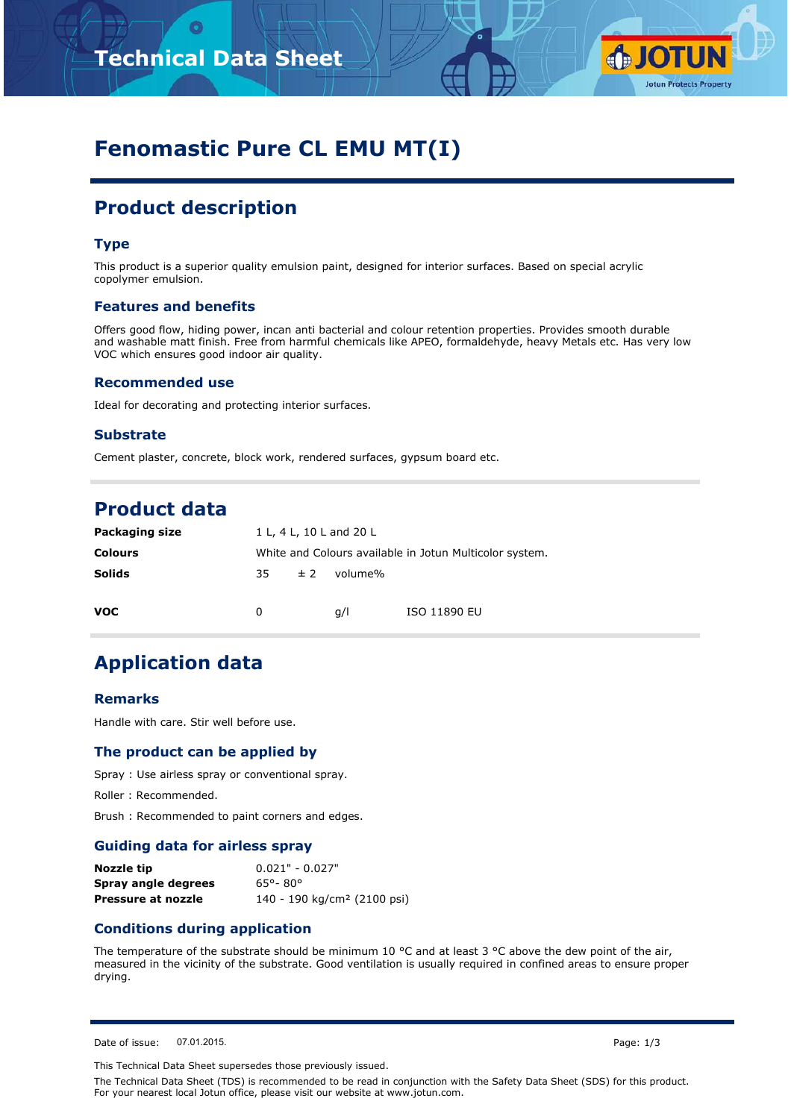

# **Fenomastic Pure CL EMU MT(I)**

# **Product description**

## **Type**

This product is a superior quality emulsion paint, designed for interior surfaces. Based on special acrylic copolymer emulsion.

### **Features and benefits**

Offers good flow, hiding power, incan anti bacterial and colour retention properties. Provides smooth durable and washable matt finish. Free from harmful chemicals like APEO, formaldehyde, heavy Metals etc. Has very low VOC which ensures good indoor air quality.

#### **Recommended use**

Ideal for decorating and protecting interior surfaces.

## **Substrate**

Cement plaster, concrete, block work, rendered surfaces, gypsum board etc.

## **Product data**

| Packaging size | 1 L, 4 L, 10 L and 20 L                                 |    |         |              |  |
|----------------|---------------------------------------------------------|----|---------|--------------|--|
| <b>Colours</b> | White and Colours available in Jotun Multicolor system. |    |         |              |  |
| <b>Solids</b>  | 35.                                                     | ±2 | volume% |              |  |
| <b>VOC</b>     | 0                                                       |    | q/l     | ISO 11890 EU |  |
|                |                                                         |    |         |              |  |

## **Application data**

#### **Remarks**

Handle with care. Stir well before use.

## **The product can be applied by**

Spray : Use airless spray or conventional spray.

Roller : Recommended.

Brush : Recommended to paint corners and edges.

## **Guiding data for airless spray**

| Nozzle tip          | $0.021" - 0.027"$                       |
|---------------------|-----------------------------------------|
| Spray angle degrees | 65°-80°                                 |
| Pressure at nozzle  | 140 - 190 kg/cm <sup>2</sup> (2100 psi) |

## **Conditions during application**

The temperature of the substrate should be minimum 10  $^{\circ}$ C and at least 3  $^{\circ}$ C above the dew point of the air, measured in the vicinity of the substrate. Good ventilation is usually required in confined areas to ensure proper drying.

Date of issue: 07.01.2015. Page: 1/3

This Technical Data Sheet supersedes those previously issued.

The Technical Data Sheet (TDS) is recommended to be read in conjunction with the Safety Data Sheet (SDS) for this product. For your nearest local Jotun office, please visit our website at www.jotun.com.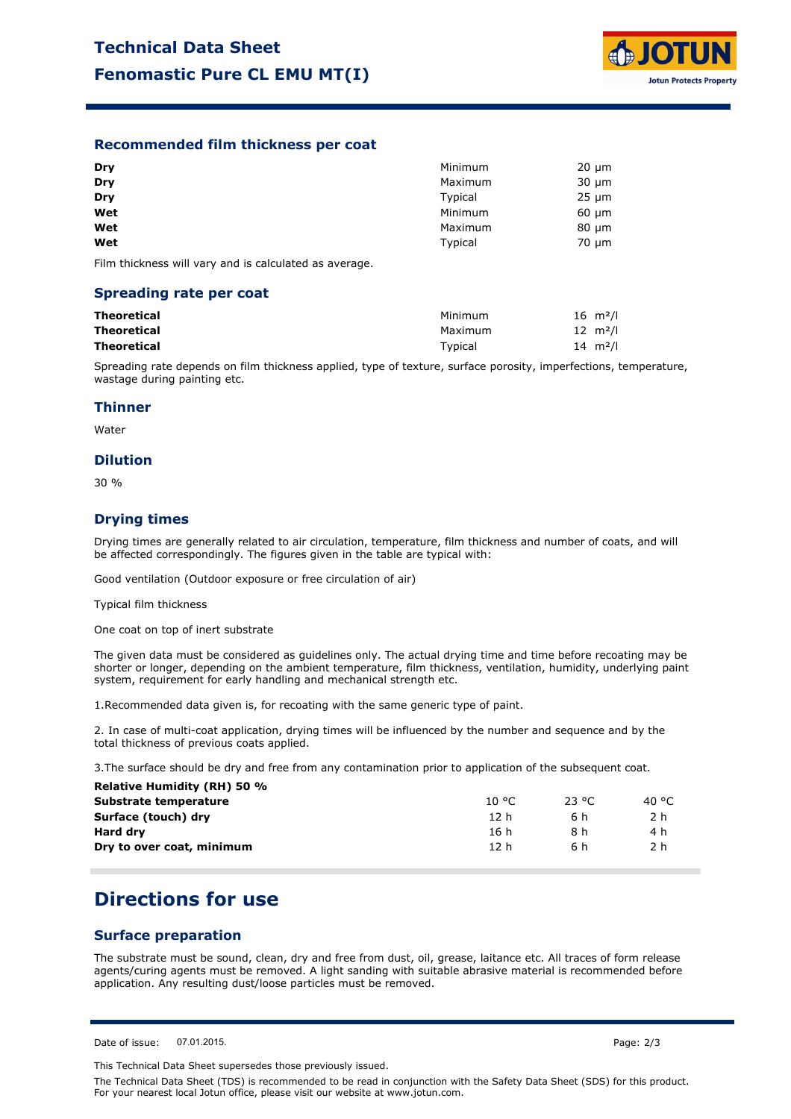

## **Recommended film thickness per coat**

| Dry | Minimum | $20 \mu m$ |
|-----|---------|------------|
| Dry | Maximum | $30 \mu m$ |
| Dry | Typical | $25 \mu m$ |
| Wet | Minimum | $60 \mu m$ |
| Wet | Maximum | $80 \mu m$ |
| Wet | Typical | $70 \mu m$ |

Film thickness will vary and is calculated as average.

#### **Spreading rate per coat**

| Theoretical | Minimum | $16 \, m^2/l$       |
|-------------|---------|---------------------|
| Theoretical | Maximum | $12 \, m^2/l$       |
| Theoretical | Tvpical | 14 $\mathrm{m}^2$ / |

Spreading rate depends on film thickness applied, type of texture, surface porosity, imperfections, temperature, wastage during painting etc.

#### **Thinner**

Water

#### **Dilution**

30 %

## **Drying times**

Drying times are generally related to air circulation, temperature, film thickness and number of coats, and will be affected correspondingly. The figures given in the table are typical with:

Good ventilation (Outdoor exposure or free circulation of air)

Typical film thickness

One coat on top of inert substrate

The given data must be considered as guidelines only. The actual drying time and time before recoating may be shorter or longer, depending on the ambient temperature, film thickness, ventilation, humidity, underlying paint system, requirement for early handling and mechanical strength etc.

1.Recommended data given is, for recoating with the same generic type of paint.

2. In case of multi-coat application, drying times will be influenced by the number and sequence and by the total thickness of previous coats applied.

3.The surface should be dry and free from any contamination prior to application of the subsequent coat.

| 10 °C | 23 °C. | 40 °C |  |
|-------|--------|-------|--|
| 12 h  | 6 h    | 2 h   |  |
| 16 h  | 8 h    | 4 h   |  |
| 12h   | 6 h    | 2 h   |  |
|       |        |       |  |

## **Directions for use**

## **Surface preparation**

The substrate must be sound, clean, dry and free from dust, oil, grease, laitance etc. All traces of form release agents/curing agents must be removed. A light sanding with suitable abrasive material is recommended before application. Any resulting dust/loose particles must be removed.

This Technical Data Sheet supersedes those previously issued.

The Technical Data Sheet (TDS) is recommended to be read in conjunction with the Safety Data Sheet (SDS) for this product. For your nearest local Jotun office, please visit our website at www.jotun.com.